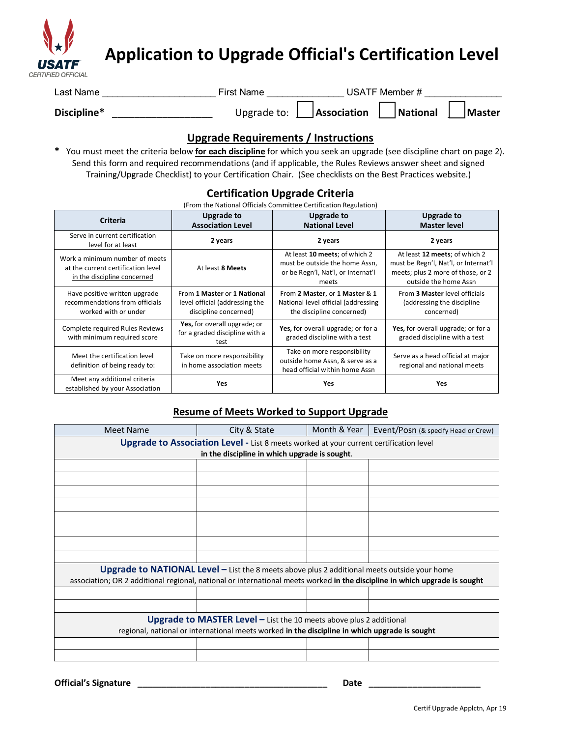

# **Application to Upgrade Official's Certification Level**

| Last Name   | First Name | USATF Member #                                        |        |
|-------------|------------|-------------------------------------------------------|--------|
| Discipline* |            | Upgrade to: $\Box$ Association $\Box$ National $\Box$ | Master |

## **Upgrade Requirements / Instructions**

**\*** You must meet the criteria below **for each discipline** for which you seek an upgrade (see discipline chart on page 2). Send this form and required recommendations (and if applicable, the Rules Reviews answer sheet and signed Training/Upgrade Checklist) to your Certification Chair. (See checklists on the Best Practices website.)

#### **Certification Upgrade Criteria**  $\mathbf r$  the National Officials Committee Certification Regulation)

| <b>Criteria</b>                                                                                     | <b>Upgrade to</b><br><b>Association Level</b>                                          | <b>Upgrade to</b><br><b>National Level</b>                                                                     | <b>Upgrade to</b><br><b>Master level</b>                                                                                            |
|-----------------------------------------------------------------------------------------------------|----------------------------------------------------------------------------------------|----------------------------------------------------------------------------------------------------------------|-------------------------------------------------------------------------------------------------------------------------------------|
| Serve in current certification<br>level for at least                                                | 2 years                                                                                | 2 years                                                                                                        | 2 years                                                                                                                             |
| Work a minimum number of meets<br>at the current certification level<br>in the discipline concerned | At least 8 Meets                                                                       | At least 10 meets; of which 2<br>must be outside the home Assn,<br>or be Regn'l, Nat'l, or Internat'l<br>meets | At least 12 meets; of which 2<br>must be Regn'l, Nat'l, or Internat'l<br>meets; plus 2 more of those, or 2<br>outside the home Assn |
| Have positive written upgrade<br>recommendations from officials<br>worked with or under             | From 1 Master or 1 National<br>level official (addressing the<br>discipline concerned) | From 2 Master, or 1 Master & 1<br>National level official (addressing<br>the discipline concerned)             | From 3 Master level officials<br>(addressing the discipline<br>concerned)                                                           |
| Complete required Rules Reviews<br>with minimum required score                                      | Yes, for overall upgrade; or<br>for a graded discipline with a<br>test                 | Yes, for overall upgrade; or for a<br>graded discipline with a test                                            | Yes, for overall upgrade; or for a<br>graded discipline with a test                                                                 |
| Meet the certification level<br>definition of being ready to:                                       | Take on more responsibility<br>in home association meets                               | Take on more responsibility<br>outside home Assn, & serve as a<br>head official within home Assn               | Serve as a head official at major<br>regional and national meets                                                                    |
| Meet any additional criteria<br>established by your Association                                     | <b>Yes</b>                                                                             | <b>Yes</b>                                                                                                     | <b>Yes</b>                                                                                                                          |

### **Resume of Meets Worked to Support Upgrade**

| <b>Meet Name</b>                                                                                                           | City & State | Month & Year | Event/Posn (& specify Head or Crew) |  |  |  |
|----------------------------------------------------------------------------------------------------------------------------|--------------|--------------|-------------------------------------|--|--|--|
| <b>Upgrade to Association Level - List 8 meets worked at your current certification level</b>                              |              |              |                                     |  |  |  |
| in the discipline in which upgrade is sought.                                                                              |              |              |                                     |  |  |  |
|                                                                                                                            |              |              |                                     |  |  |  |
|                                                                                                                            |              |              |                                     |  |  |  |
|                                                                                                                            |              |              |                                     |  |  |  |
|                                                                                                                            |              |              |                                     |  |  |  |
|                                                                                                                            |              |              |                                     |  |  |  |
|                                                                                                                            |              |              |                                     |  |  |  |
|                                                                                                                            |              |              |                                     |  |  |  |
|                                                                                                                            |              |              |                                     |  |  |  |
| <b>Upgrade to NATIONAL Level - List the 8 meets above plus 2 additional meets outside your home</b>                        |              |              |                                     |  |  |  |
| association; OR 2 additional regional, national or international meets worked in the discipline in which upgrade is sought |              |              |                                     |  |  |  |
|                                                                                                                            |              |              |                                     |  |  |  |
|                                                                                                                            |              |              |                                     |  |  |  |
| Upgrade to MASTER Level $-$ List the 10 meets above plus 2 additional                                                      |              |              |                                     |  |  |  |
| regional, national or international meets worked in the discipline in which upgrade is sought                              |              |              |                                     |  |  |  |
|                                                                                                                            |              |              |                                     |  |  |  |
|                                                                                                                            |              |              |                                     |  |  |  |

Official's Signature **Date**